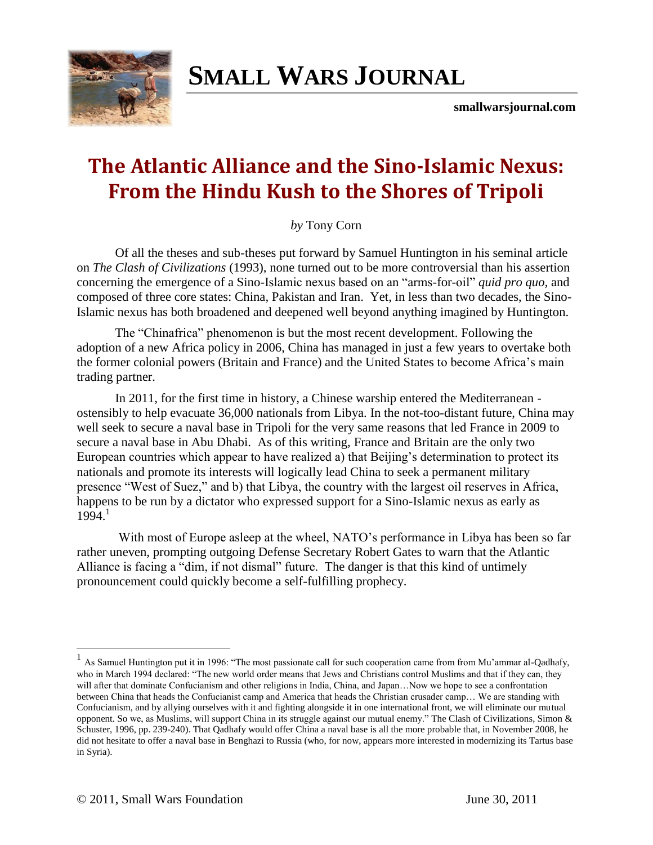

# **SMALL WARS JOURNAL**

**smallwarsjournal.com**

# **The Atlantic Alliance and the Sino-Islamic Nexus: From the Hindu Kush to the Shores of Tripoli**

*by* Tony Corn

Of all the theses and sub-theses put forward by Samuel Huntington in his seminal article on *The Clash of Civilizations* (1993), none turned out to be more controversial than his assertion concerning the emergence of a Sino-Islamic nexus based on an "arms-for-oil" *quid pro quo*, and composed of three core states: China, Pakistan and Iran. Yet, in less than two decades, the Sino-Islamic nexus has both broadened and deepened well beyond anything imagined by Huntington.

The "Chinafrica" phenomenon is but the most recent development. Following the adoption of a new Africa policy in 2006, China has managed in just a few years to overtake both the former colonial powers (Britain and France) and the United States to become Africa's main trading partner.

In 2011, for the first time in history, a Chinese warship entered the Mediterranean ostensibly to help evacuate 36,000 nationals from Libya. In the not-too-distant future, China may well seek to secure a naval base in Tripoli for the very same reasons that led France in 2009 to secure a naval base in Abu Dhabi. As of this writing, France and Britain are the only two European countries which appear to have realized a) that Beijing's determination to protect its nationals and promote its interests will logically lead China to seek a permanent military presence "West of Suez," and b) that Libya, the country with the largest oil reserves in Africa, happens to be run by a dictator who expressed support for a Sino-Islamic nexus as early as  $1994<sup>1</sup>$ 

With most of Europe asleep at the wheel, NATO's performance in Libya has been so far rather uneven, prompting outgoing Defense Secretary Robert Gates to warn that the Atlantic Alliance is facing a "dim, if not dismal" future. The danger is that this kind of untimely pronouncement could quickly become a self-fulfilling prophecy.

<sup>&</sup>lt;sup>1</sup> As Samuel Huntington put it in 1996: "The most passionate call for such cooperation came from from Mu'ammar al-Qadhafy, who in March 1994 declared: "The new world order means that Jews and Christians control Muslims and that if they can, they will after that dominate Confucianism and other religions in India, China, and Japan...Now we hope to see a confrontation between China that heads the Confucianist camp and America that heads the Christian crusader camp… We are standing with Confucianism, and by allying ourselves with it and fighting alongside it in one international front, we will eliminate our mutual opponent. So we, as Muslims, will support China in its struggle against our mutual enemy." The Clash of Civilizations, Simon  $\&$ Schuster, 1996, pp. 239-240). That Qadhafy would offer China a naval base is all the more probable that, in November 2008, he did not hesitate to offer a naval base in Benghazi to Russia (who, for now, appears more interested in modernizing its Tartus base in Syria).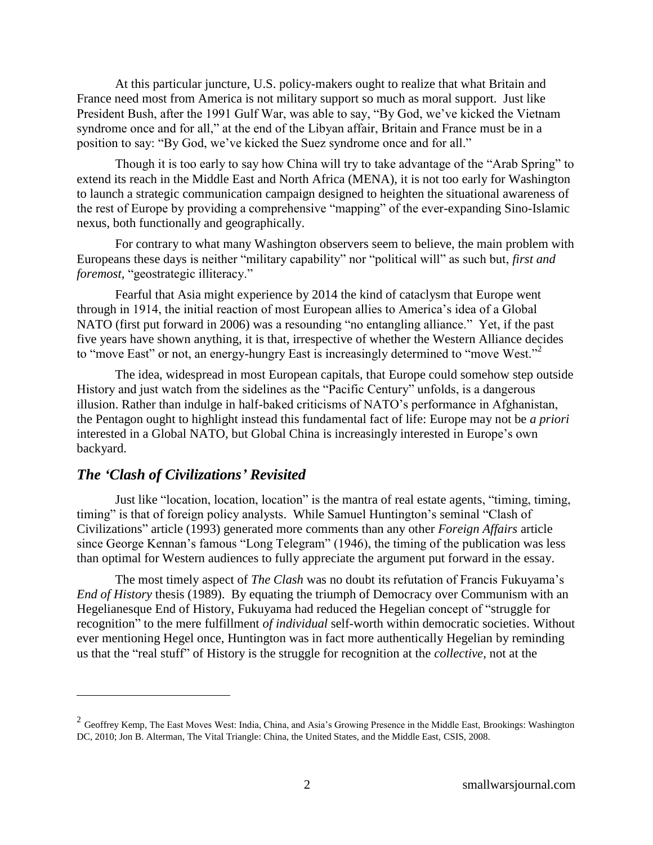At this particular juncture, U.S. policy-makers ought to realize that what Britain and France need most from America is not military support so much as moral support. Just like President Bush, after the 1991 Gulf War, was able to say, "By God, we've kicked the Vietnam syndrome once and for all," at the end of the Libyan affair, Britain and France must be in a position to say: "By God, we've kicked the Suez syndrome once and for all."

Though it is too early to say how China will try to take advantage of the "Arab Spring" to extend its reach in the Middle East and North Africa (MENA), it is not too early for Washington to launch a strategic communication campaign designed to heighten the situational awareness of the rest of Europe by providing a comprehensive "mapping" of the ever-expanding Sino-Islamic nexus, both functionally and geographically.

For contrary to what many Washington observers seem to believe, the main problem with Europeans these days is neither "military capability" nor "political will" as such but, *first and foremost*, "geostrategic illiteracy."

Fearful that Asia might experience by 2014 the kind of cataclysm that Europe went through in 1914, the initial reaction of most European allies to America's idea of a Global NATO (first put forward in 2006) was a resounding "no entangling alliance." Yet, if the past five years have shown anything, it is that, irrespective of whether the Western Alliance decides to "move East" or not, an energy-hungry East is increasingly determined to "move West."<sup>2</sup>

The idea, widespread in most European capitals, that Europe could somehow step outside History and just watch from the sidelines as the "Pacific Century" unfolds, is a dangerous illusion. Rather than indulge in half-baked criticisms of NATO's performance in Afghanistan, the Pentagon ought to highlight instead this fundamental fact of life: Europe may not be *a priori* interested in a Global NATO, but Global China is increasingly interested in Europe's own backyard.

#### *The "Clash of Civilizations" Revisited*

 $\overline{a}$ 

Just like "location, location, location" is the mantra of real estate agents, "timing, timing, timing" is that of foreign policy analysts. While Samuel Huntington's seminal "Clash of Civilizations‖ article (1993) generated more comments than any other *Foreign Affairs* article since George Kennan's famous "Long Telegram" (1946), the timing of the publication was less than optimal for Western audiences to fully appreciate the argument put forward in the essay.

The most timely aspect of *The Clash* was no doubt its refutation of Francis Fukuyama's *End of History* thesis (1989). By equating the triumph of Democracy over Communism with an Hegelianesque End of History, Fukuyama had reduced the Hegelian concept of "struggle for recognition" to the mere fulfillment *of individual* self-worth within democratic societies. Without ever mentioning Hegel once, Huntington was in fact more authentically Hegelian by reminding us that the "real stuff" of History is the struggle for recognition at the *collective*, not at the

<sup>&</sup>lt;sup>2</sup> Geoffrey Kemp, The East Moves West: India, China, and Asia's Growing Presence in the Middle East, Brookings: Washington DC, 2010; Jon B. Alterman, The Vital Triangle: China, the United States, and the Middle East, CSIS, 2008.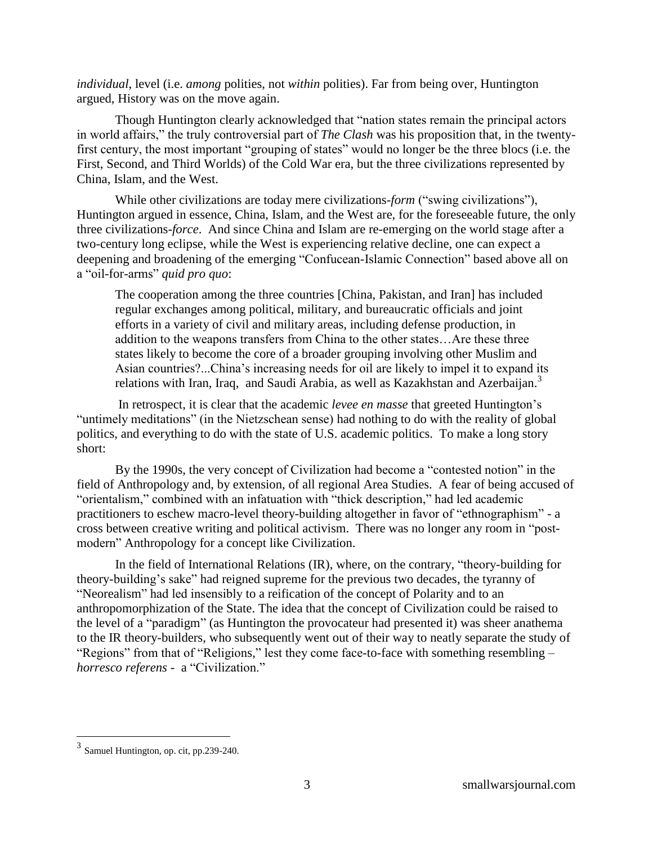*individual*, level (i.e. *among* polities, not *within* polities). Far from being over, Huntington argued, History was on the move again.

Though Huntington clearly acknowledged that "nation states remain the principal actors" in world affairs," the truly controversial part of *The Clash* was his proposition that, in the twentyfirst century, the most important "grouping of states" would no longer be the three blocs (i.e. the First, Second, and Third Worlds) of the Cold War era, but the three civilizations represented by China, Islam, and the West.

While other civilizations are today mere civilizations-*form* ("swing civilizations"), Huntington argued in essence, China, Islam, and the West are, for the foreseeable future, the only three civilizations-*force*. And since China and Islam are re-emerging on the world stage after a two-century long eclipse, while the West is experiencing relative decline, one can expect a deepening and broadening of the emerging "Confucean-Islamic Connection" based above all on a "oil-for-arms" *quid pro quo*:

The cooperation among the three countries [China, Pakistan, and Iran] has included regular exchanges among political, military, and bureaucratic officials and joint efforts in a variety of civil and military areas, including defense production, in addition to the weapons transfers from China to the other states…Are these three states likely to become the core of a broader grouping involving other Muslim and Asian countries?...China's increasing needs for oil are likely to impel it to expand its relations with Iran, Iraq, and Saudi Arabia, as well as Kazakhstan and Azerbaijan.<sup>3</sup>

In retrospect, it is clear that the academic *levee en masse* that greeted Huntington's "untimely meditations" (in the Nietzschean sense) had nothing to do with the reality of global politics, and everything to do with the state of U.S. academic politics. To make a long story short:

By the 1990s, the very concept of Civilization had become a "contested notion" in the field of Anthropology and, by extension, of all regional Area Studies. A fear of being accused of "orientalism," combined with an infatuation with "thick description," had led academic practitioners to eschew macro-level theory-building altogether in favor of "ethnographism" - a cross between creative writing and political activism. There was no longer any room in "postmodern" Anthropology for a concept like Civilization.

In the field of International Relations  $(IR)$ , where, on the contrary, "theory-building for theory-building's sake" had reigned supreme for the previous two decades, the tyranny of "Neorealism" had led insensibly to a reification of the concept of Polarity and to an anthropomorphization of the State. The idea that the concept of Civilization could be raised to the level of a "paradigm" (as Huntington the provocateur had presented it) was sheer anathema to the IR theory-builders, who subsequently went out of their way to neatly separate the study of "Regions" from that of "Religions," lest they come face-to-face with something resembling – *horresco referens* - a "Civilization."

 3 Samuel Huntington, op. cit, pp.239-240.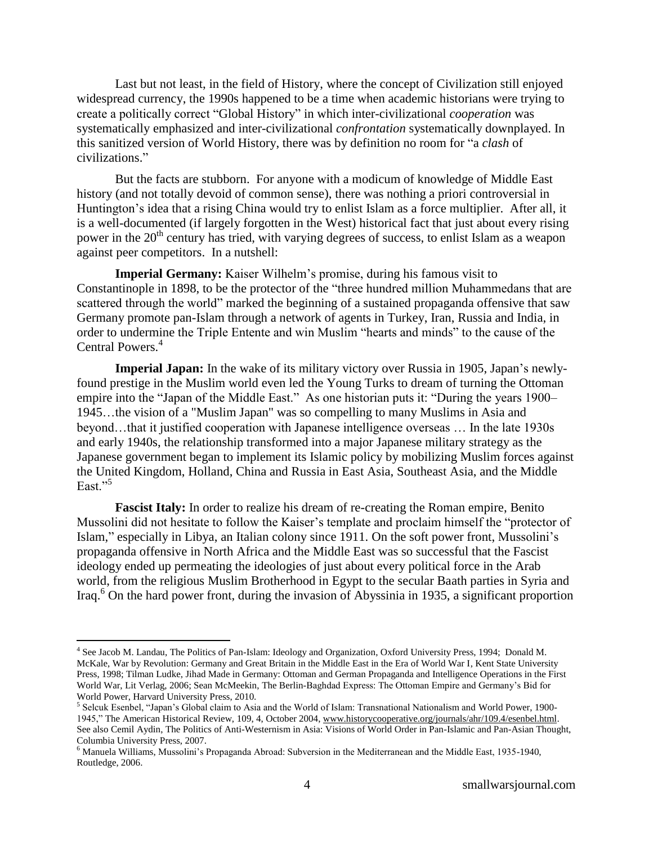Last but not least, in the field of History, where the concept of Civilization still enjoyed widespread currency, the 1990s happened to be a time when academic historians were trying to create a politically correct "Global History" in which inter-civilizational *cooperation* was systematically emphasized and inter-civilizational *confrontation* systematically downplayed. In this sanitized version of World History, there was by definition no room for "a *clash* of civilizations."

But the facts are stubborn. For anyone with a modicum of knowledge of Middle East history (and not totally devoid of common sense), there was nothing a priori controversial in Huntington's idea that a rising China would try to enlist Islam as a force multiplier. After all, it is a well-documented (if largely forgotten in the West) historical fact that just about every rising power in the 20<sup>th</sup> century has tried, with varying degrees of success, to enlist Islam as a weapon against peer competitors. In a nutshell:

**Imperial Germany:** Kaiser Wilhelm's promise, during his famous visit to Constantinople in 1898, to be the protector of the "three hundred million Muhammedans that are scattered through the world" marked the beginning of a sustained propaganda offensive that saw Germany promote pan-Islam through a network of agents in Turkey, Iran, Russia and India, in order to undermine the Triple Entente and win Muslim "hearts and minds" to the cause of the Central Powers.<sup>4</sup>

**Imperial Japan:** In the wake of its military victory over Russia in 1905, Japan's newlyfound prestige in the Muslim world even led the Young Turks to dream of turning the Ottoman empire into the "Japan of the Middle East." As one historian puts it: "During the years 1900– 1945…the vision of a "Muslim Japan" was so compelling to many Muslims in Asia and beyond…that it justified cooperation with Japanese intelligence overseas … In the late 1930s and early 1940s, the relationship transformed into a major Japanese military strategy as the Japanese government began to implement its Islamic policy by mobilizing Muslim forces against the United Kingdom, Holland, China and Russia in East Asia, Southeast Asia, and the Middle East $^{55}$ 

**Fascist Italy:** In order to realize his dream of re-creating the Roman empire, Benito Mussolini did not hesitate to follow the Kaiser's template and proclaim himself the "protector of Islam," especially in Libya, an Italian colony since 1911. On the soft power front, Mussolini's propaganda offensive in North Africa and the Middle East was so successful that the Fascist ideology ended up permeating the ideologies of just about every political force in the Arab world, from the religious Muslim Brotherhood in Egypt to the secular Baath parties in Syria and Iraq. <sup>6</sup> On the hard power front, during the invasion of Abyssinia in 1935, a significant proportion

<sup>&</sup>lt;sup>4</sup> See Jacob M. Landau, The Politics of Pan-Islam: Ideology and Organization, Oxford University Press, 1994; Donald M. McKale, War by Revolution: Germany and Great Britain in the Middle East in the Era of World War I, Kent State University Press, 1998; Tilman Ludke, Jihad Made in Germany: Ottoman and German Propaganda and Intelligence Operations in the First World War, Lit Verlag, 2006; Sean McMeekin, The Berlin-Baghdad Express: The Ottoman Empire and Germany's Bid for World Power, Harvard University Press, 2010.

<sup>&</sup>lt;sup>5</sup> Selcuk Esenbel, "Japan's Global claim to Asia and the World of Islam: Transnational Nationalism and World Power, 1900-1945," The American Historical Review, 109, 4, October 2004, www.historycooperative.org/journals/ahr/109.4/esenbel.html. See also Cemil Aydin, The Politics of Anti-Westernism in Asia: Visions of World Order in Pan-Islamic and Pan-Asian Thought, Columbia University Press, 2007.

<sup>6</sup> Manuela Williams, Mussolini's Propaganda Abroad: Subversion in the Mediterranean and the Middle East, 1935-1940, Routledge, 2006.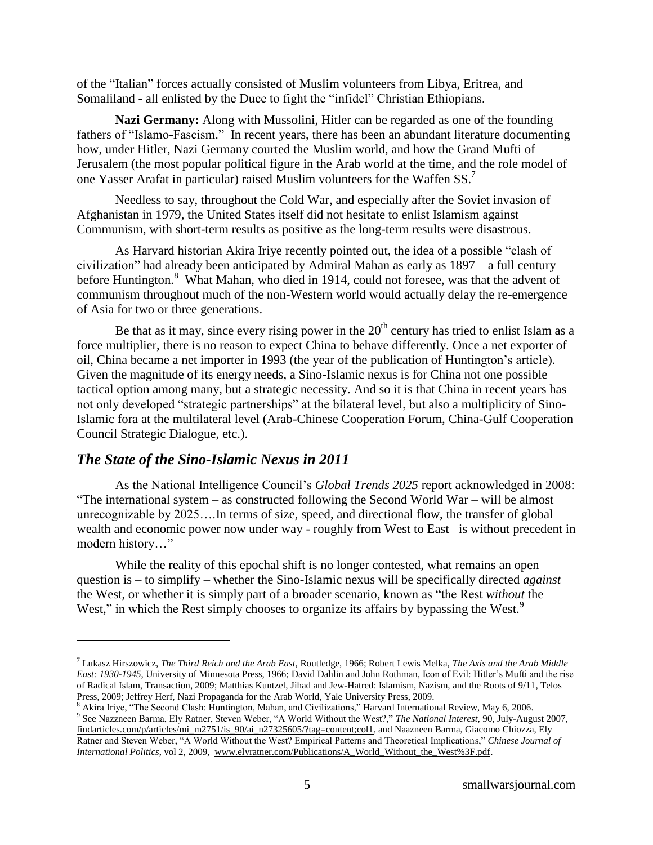of the "Italian" forces actually consisted of Muslim volunteers from Libya, Eritrea, and Somaliland - all enlisted by the Duce to fight the "infidel" Christian Ethiopians.

**Nazi Germany:** Along with Mussolini, Hitler can be regarded as one of the founding fathers of "Islamo-Fascism." In recent years, there has been an abundant literature documenting how, under Hitler, Nazi Germany courted the Muslim world, and how the Grand Mufti of Jerusalem (the most popular political figure in the Arab world at the time, and the role model of one Yasser Arafat in particular) raised Muslim volunteers for the Waffen SS.<sup>7</sup>

Needless to say, throughout the Cold War, and especially after the Soviet invasion of Afghanistan in 1979, the United States itself did not hesitate to enlist Islamism against Communism, with short-term results as positive as the long-term results were disastrous.

As Harvard historian Akira Iriye recently pointed out, the idea of a possible "clash of civilization" had already been anticipated by Admiral Mahan as early as  $1897 - a$  full century before Huntington.<sup>8</sup> What Mahan, who died in 1914, could not foresee, was that the advent of communism throughout much of the non-Western world would actually delay the re-emergence of Asia for two or three generations.

Be that as it may, since every rising power in the  $20<sup>th</sup>$  century has tried to enlist Islam as a force multiplier, there is no reason to expect China to behave differently. Once a net exporter of oil, China became a net importer in 1993 (the year of the publication of Huntington's article). Given the magnitude of its energy needs, a Sino-Islamic nexus is for China not one possible tactical option among many, but a strategic necessity. And so it is that China in recent years has not only developed "strategic partnerships" at the bilateral level, but also a multiplicity of Sino-Islamic fora at the multilateral level (Arab-Chinese Cooperation Forum, China-Gulf Cooperation Council Strategic Dialogue, etc.).

## *The State of the Sino-Islamic Nexus in 2011*

 $\overline{a}$ 

As the National Intelligence Council's *Global Trends 2025* report acknowledged in 2008: "The international system  $-$  as constructed following the Second World War  $-$  will be almost unrecognizable by 2025….In terms of size, speed, and directional flow, the transfer of global wealth and economic power now under way - roughly from West to East –is without precedent in modern history..."

While the reality of this epochal shift is no longer contested, what remains an open question is – to simplify – whether the Sino-Islamic nexus will be specifically directed *against* the West, or whether it is simply part of a broader scenario, known as "the Rest *without* the West," in which the Rest simply chooses to organize its affairs by bypassing the West.<sup>9</sup>

<sup>7</sup> Lukasz Hirszowicz, *The Third Reich and the Arab East,* Routledge, 1966; Robert Lewis Melka, *The Axis and the Arab Middle East: 1930-1945*, University of Minnesota Press, 1966; David Dahlin and John Rothman, Icon of Evil: Hitler's Mufti and the rise of Radical Islam, Transaction, 2009; Matthias Kuntzel, Jihad and Jew-Hatred: Islamism, Nazism, and the Roots of 9/11, Telos Press, 2009; Jeffrey Herf, Nazi Propaganda for the Arab World, Yale University Press, 2009.

 $8$  Akira Irive, "The Second Clash: Huntington, Mahan, and Civilizations," Harvard International Review, May 6, 2006.

<sup>&</sup>lt;sup>9</sup> See Nazzneen Barma, Ely Ratner, Steven Weber, "A World Without the West?," The National Interest, 90, July-August 2007, [findarticles.com/p/articles/mi\\_m2751/is\\_90/ai\\_n27325605/?tag=content;col1,](http://findarticles.com/p/articles/mi_m2751/is_90/ai_n27325605/?tag=content;col1) and Naazneen Barma, Giacomo Chiozza, Ely Ratner and Steven Weber, "A World Without the West? Empirical Patterns and Theoretical Implications," *Chinese Journal of International Politics*, vol 2, 2009, [www.elyratner.com/Publications/A\\_World\\_Without\\_the\\_West%3F.pdf.](http://www.elyratner.com/Publications/A_World_Without_the_West%3F.pdf)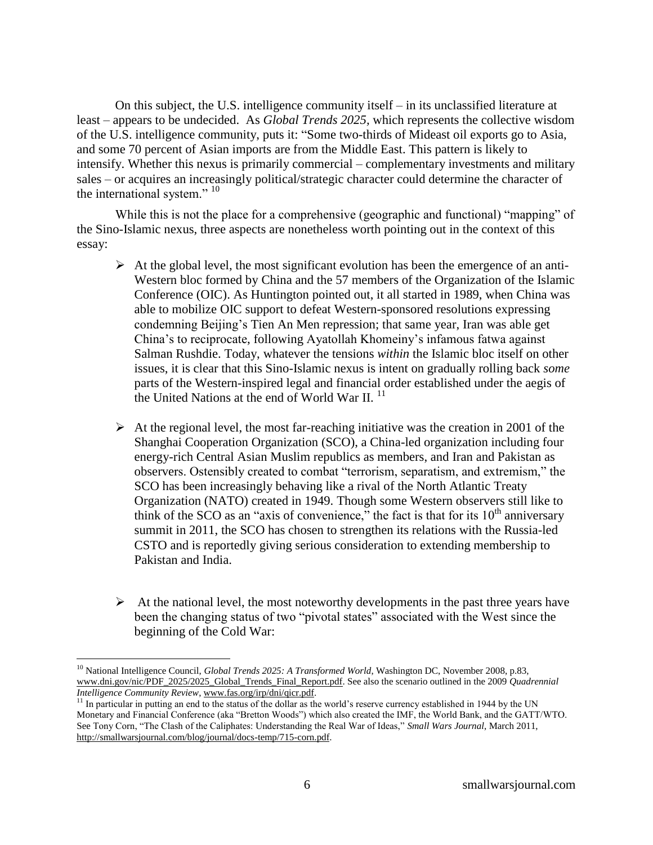On this subject, the U.S. intelligence community itself – in its unclassified literature at least – appears to be undecided. As *Global Trends 2025,* which represents the collective wisdom of the U.S. intelligence community, puts it: "Some two-thirds of Mideast oil exports go to Asia, and some 70 percent of Asian imports are from the Middle East. This pattern is likely to intensify. Whether this nexus is primarily commercial – complementary investments and military sales – or acquires an increasingly political/strategic character could determine the character of the international system."  $10$ 

While this is not the place for a comprehensive (geographic and functional) "mapping" of the Sino-Islamic nexus, three aspects are nonetheless worth pointing out in the context of this essay:

- $\triangleright$  At the global level, the most significant evolution has been the emergence of an anti-Western bloc formed by China and the 57 members of the Organization of the Islamic Conference (OIC). As Huntington pointed out, it all started in 1989, when China was able to mobilize OIC support to defeat Western-sponsored resolutions expressing condemning Beijing's Tien An Men repression; that same year, Iran was able get China's to reciprocate, following Ayatollah Khomeiny's infamous fatwa against Salman Rushdie. Today, whatever the tensions *within* the Islamic bloc itself on other issues, it is clear that this Sino-Islamic nexus is intent on gradually rolling back *some*  parts of the Western-inspired legal and financial order established under the aegis of the United Nations at the end of World War II.  $^{11}$
- $\triangleright$  At the regional level, the most far-reaching initiative was the creation in 2001 of the Shanghai Cooperation Organization (SCO), a China-led organization including four energy-rich Central Asian Muslim republics as members, and Iran and Pakistan as observers. Ostensibly created to combat "terrorism, separatism, and extremism," the SCO has been increasingly behaving like a rival of the North Atlantic Treaty Organization (NATO) created in 1949. Though some Western observers still like to think of the SCO as an "axis of convenience," the fact is that for its  $10<sup>th</sup>$  anniversary summit in 2011, the SCO has chosen to strengthen its relations with the Russia-led CSTO and is reportedly giving serious consideration to extending membership to Pakistan and India.
- $\triangleright$  At the national level, the most noteworthy developments in the past three years have been the changing status of two "pivotal states" associated with the West since the beginning of the Cold War:

<sup>&</sup>lt;sup>10</sup> National Intelligence Council, *Global Trends 2025: A Transformed World*, Washington DC, November 2008, p.83, [www.dni.gov/nic/PDF\\_2025/2025\\_Global\\_Trends\\_Final\\_Report.pdf.](http://www.dni.gov/nic/PDF_2025/2025_Global_Trends_Final_Report.pdf) See also the scenario outlined in the 2009 *Quadrennial Intelligence Community Review*, [www.fas.org/irp/dni/qicr.pdf.](http://www.fas.org/irp/dni/qicr.pdf)

<sup>&</sup>lt;sup>11</sup> In particular in putting an end to the status of the dollar as the world's reserve currency established in 1944 by the UN Monetary and Financial Conference (aka "Bretton Woods") which also created the IMF, the World Bank, and the GATT/WTO. See Tony Corn, "The Clash of the Caliphates: Understanding the Real War of Ideas," *Small Wars Journal*, March 2011, [http://smallwarsjournal.com/blog/journal/docs-temp/715-corn.pdf.](http://smallwarsjournal.com/blog/journal/docs-temp/715-corn.pdf)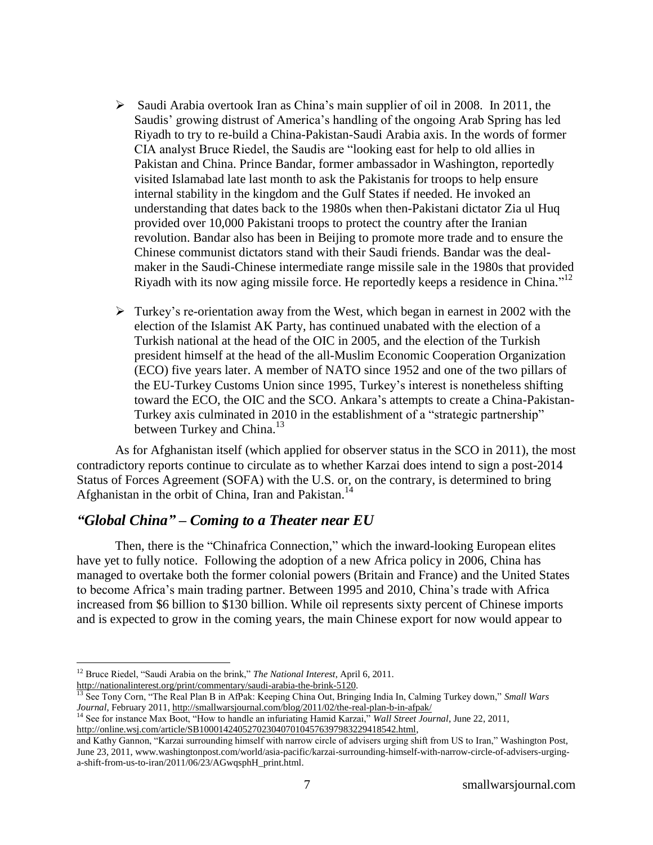- $\triangleright$  Saudi Arabia overtook Iran as China's main supplier of oil in 2008. In 2011, the Saudis' growing distrust of America's handling of the ongoing Arab Spring has led Riyadh to try to re-build a China-Pakistan-Saudi Arabia axis. In the words of former CIA analyst Bruce Riedel, the Saudis are "looking east for help to old allies in Pakistan and China. Prince Bandar, former ambassador in Washington, reportedly visited Islamabad late last month to ask the Pakistanis for troops to help ensure internal stability in the kingdom and the Gulf States if needed. He invoked an understanding that dates back to the 1980s when then-Pakistani dictator Zia ul Huq provided over 10,000 Pakistani troops to protect the country after the Iranian revolution. Bandar also has been in Beijing to promote more trade and to ensure the Chinese communist dictators stand with their Saudi friends. Bandar was the dealmaker in the Saudi-Chinese intermediate range missile sale in the 1980s that provided Riyadh with its now aging missile force. He reportedly keeps a residence in China." $12$
- $\triangleright$  Turkey's re-orientation away from the West, which began in earnest in 2002 with the election of the Islamist AK Party, has continued unabated with the election of a Turkish national at the head of the OIC in 2005, and the election of the Turkish president himself at the head of the all-Muslim Economic Cooperation Organization (ECO) five years later. A member of NATO since 1952 and one of the two pillars of the EU-Turkey Customs Union since 1995, Turkey's interest is nonetheless shifting toward the ECO, the OIC and the SCO. Ankara's attempts to create a China-Pakistan-Turkey axis culminated in 2010 in the establishment of a "strategic partnership" between Turkey and China.<sup>13</sup>

As for Afghanistan itself (which applied for observer status in the SCO in 2011), the most contradictory reports continue to circulate as to whether Karzai does intend to sign a post-2014 Status of Forces Agreement (SOFA) with the U.S. or, on the contrary, is determined to bring Afghanistan in the orbit of China, Iran and Pakistan.<sup>14</sup>

# *"Global China" – Coming to a Theater near EU*

Then, there is the "Chinafrica Connection," which the inward-looking European elites have yet to fully notice. Following the adoption of a new Africa policy in 2006, China has managed to overtake both the former colonial powers (Britain and France) and the United States to become Africa's main trading partner. Between 1995 and 2010, China's trade with Africa increased from \$6 billion to \$130 billion. While oil represents sixty percent of Chinese imports and is expected to grow in the coming years, the main Chinese export for now would appear to

 $\overline{a}$ 

<sup>14</sup> See for instance Max Boot, "How to handle an infuriating Hamid Karzai," *Wall Street Journal*, June 22, 2011, [http://online.wsj.com/article/SB10001424052702304070104576397983229418542.html,](http://online.wsj.com/article/SB10001424052702304070104576397983229418542.html)

<sup>&</sup>lt;sup>12</sup> Bruce Riedel, "Saudi Arabia on the brink," *The National Interest*, April 6, 2011. [http://nationalinterest.org/print/commentary/saudi-arabia-the-brink-5120.](http://nationalinterest.org/print/commentary/saudi-arabia-the-brink-5120)

<sup>&</sup>lt;sup>13</sup> See Tony Corn, "The Real Plan B in AfPak: Keeping China Out, Bringing India In, Calming Turkey down," *Small Wars Journal*, February 2011[, http://smallwarsjournal.com/blog/2011/02/the-real-plan-b-in-afpak/](http://smallwarsjournal.com/blog/2011/02/the-real-plan-b-in-afpak/)

and Kathy Gannon, "Karzai surrounding himself with narrow circle of advisers urging shift from US to Iran," Washington Post, June 23, 2011[, www.washingtonpost.com/world/asia-pacific/karzai-surrounding-himself-with-narrow-circle-of-advisers-urging](http://www.washingtonpost.com/world/asia-pacific/karzai-surrounding-himself-with-narrow-circle-of-advisers-urging-a-shift-from-us-to-iran/2011/06/23/AGwqsphH_print.html)[a-shift-from-us-to-iran/2011/06/23/AGwqsphH\\_print.html.](http://www.washingtonpost.com/world/asia-pacific/karzai-surrounding-himself-with-narrow-circle-of-advisers-urging-a-shift-from-us-to-iran/2011/06/23/AGwqsphH_print.html)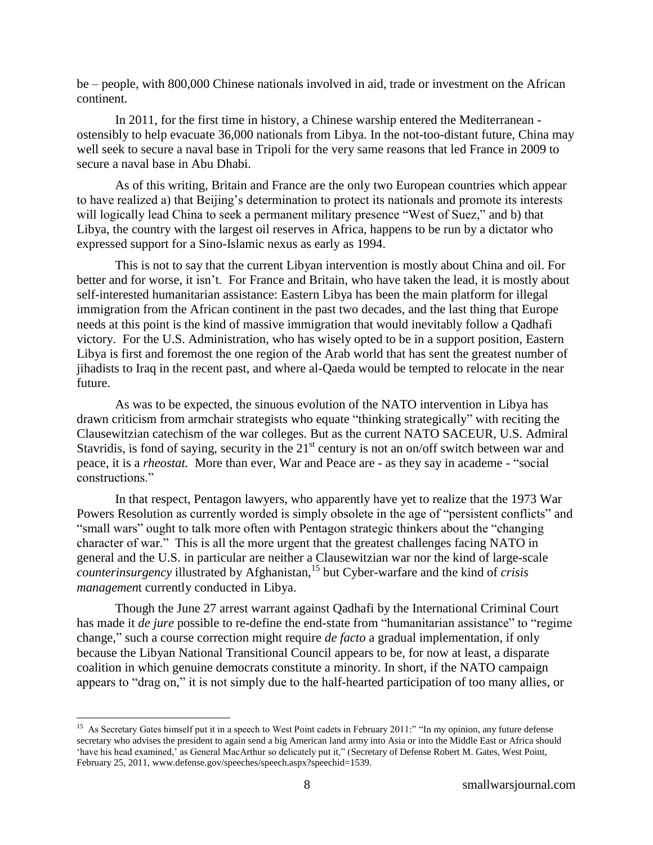be – people, with 800,000 Chinese nationals involved in aid, trade or investment on the African continent.

In 2011, for the first time in history, a Chinese warship entered the Mediterranean ostensibly to help evacuate 36,000 nationals from Libya. In the not-too-distant future, China may well seek to secure a naval base in Tripoli for the very same reasons that led France in 2009 to secure a naval base in Abu Dhabi.

As of this writing, Britain and France are the only two European countries which appear to have realized a) that Beijing's determination to protect its nationals and promote its interests will logically lead China to seek a permanent military presence "West of Suez," and b) that Libya, the country with the largest oil reserves in Africa, happens to be run by a dictator who expressed support for a Sino-Islamic nexus as early as 1994.

This is not to say that the current Libyan intervention is mostly about China and oil. For better and for worse, it isn't. For France and Britain, who have taken the lead, it is mostly about self-interested humanitarian assistance: Eastern Libya has been the main platform for illegal immigration from the African continent in the past two decades, and the last thing that Europe needs at this point is the kind of massive immigration that would inevitably follow a Qadhafi victory. For the U.S. Administration, who has wisely opted to be in a support position, Eastern Libya is first and foremost the one region of the Arab world that has sent the greatest number of jihadists to Iraq in the recent past, and where al-Qaeda would be tempted to relocate in the near future.

As was to be expected, the sinuous evolution of the NATO intervention in Libya has drawn criticism from armchair strategists who equate "thinking strategically" with reciting the Clausewitzian catechism of the war colleges. But as the current NATO SACEUR, U.S. Admiral Stavridis, is fond of saying, security in the  $21<sup>st</sup>$  century is not an on/off switch between war and peace, it is a *rheostat*. More than ever, War and Peace are - as they say in academe - "social constructions."

In that respect, Pentagon lawyers, who apparently have yet to realize that the 1973 War Powers Resolution as currently worded is simply obsolete in the age of "persistent conflicts" and "small wars" ought to talk more often with Pentagon strategic thinkers about the "changing" character of war." This is all the more urgent that the greatest challenges facing NATO in general and the U.S. in particular are neither a Clausewitzian war nor the kind of large-scale *counterinsurgency* illustrated by Afghanistan,<sup>15</sup> but Cyber-warfare and the kind of *crisis managemen*t currently conducted in Libya.

Though the June 27 arrest warrant against Qadhafi by the International Criminal Court has made it *de jure* possible to re-define the end-state from "humanitarian assistance" to "regime change," such a course correction might require *de facto* a gradual implementation, if only because the Libyan National Transitional Council appears to be, for now at least, a disparate coalition in which genuine democrats constitute a minority. In short, if the NATO campaign appears to "drag on," it is not simply due to the half-hearted participation of too many allies, or

<sup>&</sup>lt;sup>15</sup> As Secretary Gates himself put it in a speech to West Point cadets in February 2011:" "In my opinion, any future defense secretary who advises the president to again send a big American land army into Asia or into the Middle East or Africa should 'have his head examined,' as General MacArthur so delicately put it," (Secretary of Defense Robert M. Gates, West Point, February 25, 2011[, www.defense.gov/speeches/speech.aspx?speechid=1539.](http://www.defense.gov/speeches/speech.aspx?speechid=1539)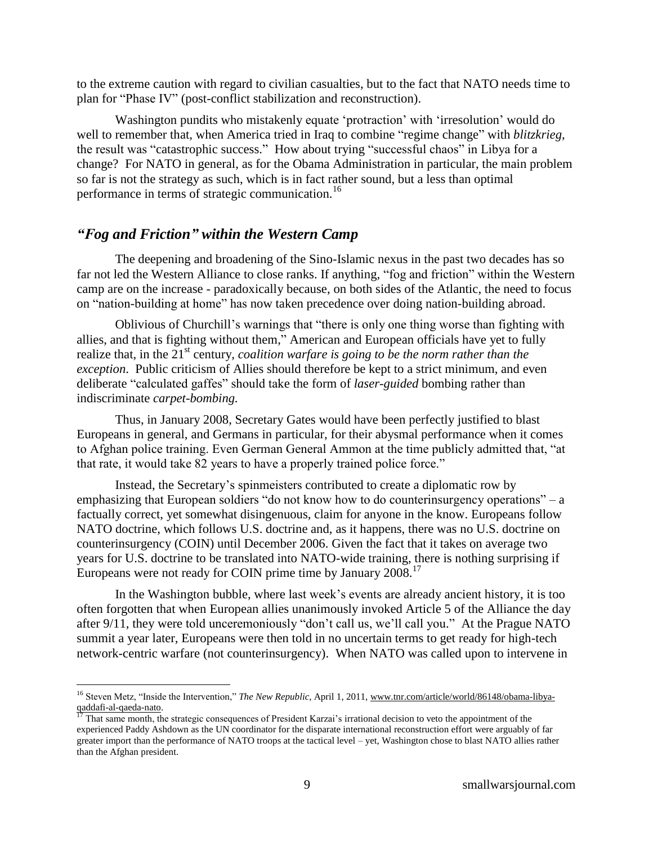to the extreme caution with regard to civilian casualties, but to the fact that NATO needs time to plan for "Phase IV" (post-conflict stabilization and reconstruction).

Washington pundits who mistakenly equate 'protraction' with 'irresolution' would do well to remember that, when America tried in Iraq to combine "regime change" with *blitzkrieg*, the result was "catastrophic success." How about trying "successful chaos" in Libya for a change? For NATO in general, as for the Obama Administration in particular, the main problem so far is not the strategy as such, which is in fact rather sound, but a less than optimal performance in terms of strategic communication.<sup>16</sup>

#### *"Fog and Friction" within the Western Camp*

 $\overline{a}$ 

The deepening and broadening of the Sino-Islamic nexus in the past two decades has so far not led the Western Alliance to close ranks. If anything, "fog and friction" within the Western camp are on the increase - paradoxically because, on both sides of the Atlantic, the need to focus on "nation-building at home" has now taken precedence over doing nation-building abroad.

Oblivious of Churchill's warnings that "there is only one thing worse than fighting with allies, and that is fighting without them," American and European officials have yet to fully realize that, in the 21<sup>st</sup> century, *coalition warfare is going to be the norm rather than the exception*. Public criticism of Allies should therefore be kept to a strict minimum, and even deliberate "calculated gaffes" should take the form of *laser-guided* bombing rather than indiscriminate *carpet-bombing.* 

Thus, in January 2008, Secretary Gates would have been perfectly justified to blast Europeans in general, and Germans in particular, for their abysmal performance when it comes to Afghan police training. Even German General Ammon at the time publicly admitted that, "at that rate, it would take 82 years to have a properly trained police force."

Instead, the Secretary's spinmeisters contributed to create a diplomatic row by emphasizing that European soldiers "do not know how to do counterinsurgency operations" – a factually correct, yet somewhat disingenuous, claim for anyone in the know. Europeans follow NATO doctrine, which follows U.S. doctrine and, as it happens, there was no U.S. doctrine on counterinsurgency (COIN) until December 2006. Given the fact that it takes on average two years for U.S. doctrine to be translated into NATO-wide training, there is nothing surprising if Europeans were not ready for COIN prime time by January 2008.<sup>17</sup>

In the Washington bubble, where last week's events are already ancient history, it is too often forgotten that when European allies unanimously invoked Article 5 of the Alliance the day after  $9/11$ , they were told unceremoniously "don't call us, we'll call you." At the Prague NATO summit a year later, Europeans were then told in no uncertain terms to get ready for high-tech network-centric warfare (not counterinsurgency). When NATO was called upon to intervene in

<sup>&</sup>lt;sup>16</sup> Steven Metz, "Inside the Intervention," *The New Republic*, April 1, 2011[, www.tnr.com/article/world/86148/obama-libya](http://www.tnr.com/article/world/86148/obama-libya-qaddafi-al-qaeda-nato)[qaddafi-al-qaeda-nato.](http://www.tnr.com/article/world/86148/obama-libya-qaddafi-al-qaeda-nato)

<sup>&</sup>lt;sup>17</sup> That same month, the strategic consequences of President Karzai's irrational decision to veto the appointment of the experienced Paddy Ashdown as the UN coordinator for the disparate international reconstruction effort were arguably of far greater import than the performance of NATO troops at the tactical level – yet, Washington chose to blast NATO allies rather than the Afghan president.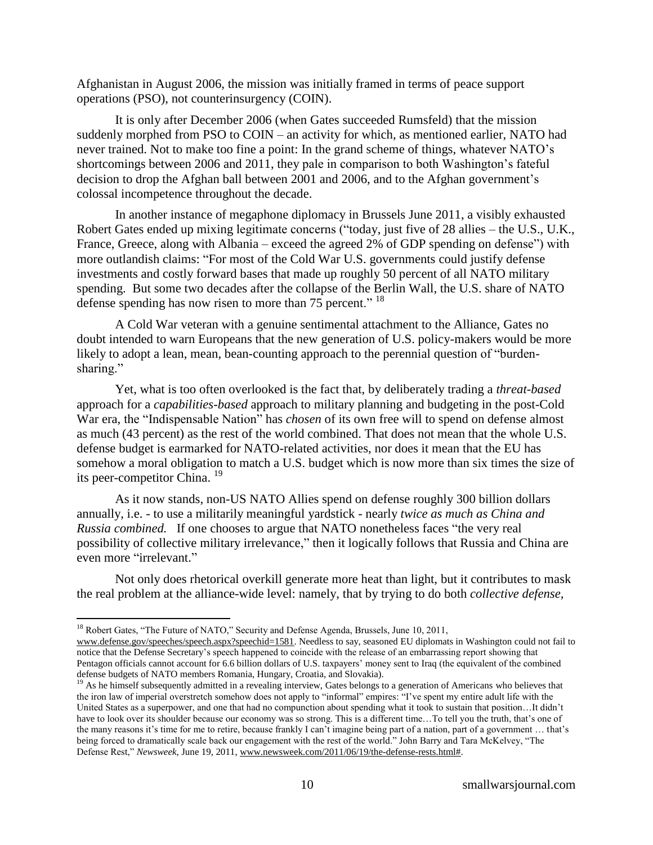Afghanistan in August 2006, the mission was initially framed in terms of peace support operations (PSO), not counterinsurgency (COIN).

It is only after December 2006 (when Gates succeeded Rumsfeld) that the mission suddenly morphed from PSO to COIN – an activity for which, as mentioned earlier, NATO had never trained. Not to make too fine a point: In the grand scheme of things, whatever NATO's shortcomings between 2006 and 2011, they pale in comparison to both Washington's fateful decision to drop the Afghan ball between 2001 and 2006, and to the Afghan government's colossal incompetence throughout the decade.

In another instance of megaphone diplomacy in Brussels June 2011, a visibly exhausted Robert Gates ended up mixing legitimate concerns ("today, just five of 28 allies – the U.S., U.K., France, Greece, along with Albania – exceed the agreed  $2%$  of GDP spending on defense") with more outlandish claims: "For most of the Cold War U.S. governments could justify defense investments and costly forward bases that made up roughly 50 percent of all NATO military spending. But some two decades after the collapse of the Berlin Wall, the U.S. share of NATO defense spending has now risen to more than 75 percent."  $18$ 

A Cold War veteran with a genuine sentimental attachment to the Alliance, Gates no doubt intended to warn Europeans that the new generation of U.S. policy-makers would be more likely to adopt a lean, mean, bean-counting approach to the perennial question of "burdensharing."

Yet, what is too often overlooked is the fact that, by deliberately trading a *threat-based* approach for a *capabilities-based* approach to military planning and budgeting in the post-Cold War era, the "Indispensable Nation" has *chosen* of its own free will to spend on defense almost as much (43 percent) as the rest of the world combined. That does not mean that the whole U.S. defense budget is earmarked for NATO-related activities, nor does it mean that the EU has somehow a moral obligation to match a U.S. budget which is now more than six times the size of its peer-competitor China.<sup>19</sup>

As it now stands, non-US NATO Allies spend on defense roughly 300 billion dollars annually, i.e. - to use a militarily meaningful yardstick - nearly *twice as much as China and Russia combined.* If one chooses to argue that NATO nonetheless faces "the very real possibility of collective military irrelevance," then it logically follows that Russia and China are even more "irrelevant."

Not only does rhetorical overkill generate more heat than light, but it contributes to mask the real problem at the alliance-wide level: namely, that by trying to do both *collective defense,*

<sup>&</sup>lt;sup>18</sup> Robert Gates, "The Future of NATO," Security and Defense Agenda, Brussels, June 10, 2011,

[www.defense.gov/speeches/speech.aspx?speechid=1581.](http://www.defense.gov/speeches/speech.aspx?speechid=1581) Needless to say, seasoned EU diplomats in Washington could not fail to notice that the Defense Secretary's speech happened to coincide with the release of an embarrassing report showing that Pentagon officials cannot account for 6.6 billion dollars of U.S. taxpayers' money sent to Iraq (the equivalent of the combined defense budgets of NATO members Romania, Hungary, Croatia, and Slovakia).

<sup>&</sup>lt;sup>19</sup> As he himself subsequently admitted in a revealing interview, Gates belongs to a generation of Americans who believes that the iron law of imperial overstretch somehow does not apply to "informal" empires: "I've spent my entire adult life with the United States as a superpower, and one that had no compunction about spending what it took to sustain that position…It didn't have to look over its shoulder because our economy was so strong. This is a different time...To tell you the truth, that's one of the many reasons it's time for me to retire, because frankly I can't imagine being part of a nation, part of a government … that's being forced to dramatically scale back our engagement with the rest of the world." John Barry and Tara McKelvey, "The Defense Rest," Newsweek, June 19, 2011, [www.newsweek.com/2011/06/19/the-defense-rests.html#.](http://www.newsweek.com/2011/06/19/the-defense-rests.html)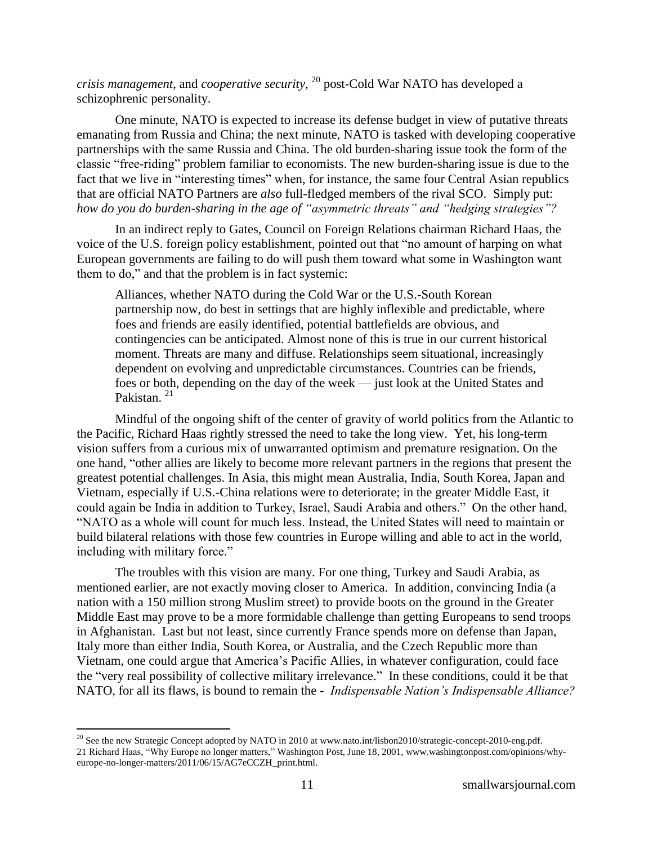*crisis management*, and *cooperative security*, <sup>20</sup> post-Cold War NATO has developed a schizophrenic personality.

One minute, NATO is expected to increase its defense budget in view of putative threats emanating from Russia and China; the next minute, NATO is tasked with developing cooperative partnerships with the same Russia and China. The old burden-sharing issue took the form of the classic "free-riding" problem familiar to economists. The new burden-sharing issue is due to the fact that we live in "interesting times" when, for instance, the same four Central Asian republics that are official NATO Partners are *also* full-fledged members of the rival SCO. Simply put: *how do you do burden-sharing in the age of "asymmetric threats" and "hedging strategies"?*

In an indirect reply to Gates, Council on Foreign Relations chairman Richard Haas, the voice of the U.S. foreign policy establishment, pointed out that "no amount of harping on what European governments are failing to do will push them toward what some in Washington want them to do," and that the problem is in fact systemic:

Alliances, whether NATO during the Cold War or the U.S.-South Korean partnership now, do best in settings that are highly inflexible and predictable, where foes and friends are easily identified, potential battlefields are obvious, and contingencies can be anticipated. Almost none of this is true in our current historical moment. Threats are many and diffuse. Relationships seem situational, increasingly dependent on evolving and unpredictable circumstances. Countries can be friends, foes or both, depending on the day of the week — just look at the United States and Pakistan.<sup>21</sup>

Mindful of the ongoing shift of the center of gravity of world politics from the Atlantic to the Pacific, Richard Haas rightly stressed the need to take the long view. Yet, his long-term vision suffers from a curious mix of unwarranted optimism and premature resignation. On the one hand, "other allies are likely to become more relevant partners in the regions that present the greatest potential challenges. In Asia, this might mean Australia, India, South Korea, Japan and Vietnam, especially if U.S.-China relations were to deteriorate; in the greater Middle East, it could again be India in addition to Turkey, Israel, Saudi Arabia and others." On the other hand, "NATO as a whole will count for much less. Instead, the United States will need to maintain or build bilateral relations with those few countries in Europe willing and able to act in the world, including with military force."

The troubles with this vision are many. For one thing, Turkey and Saudi Arabia, as mentioned earlier, are not exactly moving closer to America. In addition, convincing India (a nation with a 150 million strong Muslim street) to provide boots on the ground in the Greater Middle East may prove to be a more formidable challenge than getting Europeans to send troops in Afghanistan. Last but not least, since currently France spends more on defense than Japan, Italy more than either India, South Korea, or Australia, and the Czech Republic more than Vietnam, one could argue that America's Pacific Allies, in whatever configuration, could face the "very real possibility of collective military irrelevance." In these conditions, could it be that NATO, for all its flaws, is bound to remain the - *Indispensable Nation's Indispensable Alliance?*

<sup>&</sup>lt;sup>20</sup> See the new Strategic Concept adopted by NATO in 2010 at [www.nato.int/lisbon2010/strategic-concept-2010-eng.pdf.](http://www.nato.int/lisbon2010/strategic-concept-2010-eng.pdf) 21 Richard Haas, "Why Europe no longer matters," Washington Post, June 18, 2001[, www.washingtonpost.com/opinions/why](http://www.washingtonpost.com/opinions/why-europe-no-longer-matters/2011/06/15/AG7eCCZH_print.html)[europe-no-longer-matters/2011/06/15/AG7eCCZH\\_print.html.](http://www.washingtonpost.com/opinions/why-europe-no-longer-matters/2011/06/15/AG7eCCZH_print.html)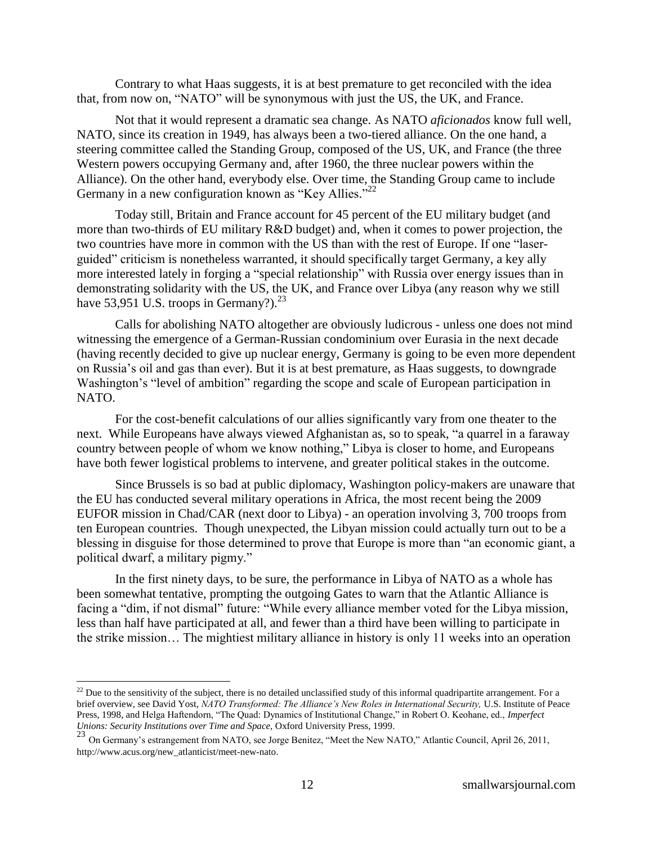Contrary to what Haas suggests, it is at best premature to get reconciled with the idea that, from now on, "NATO" will be synonymous with just the US, the UK, and France.

Not that it would represent a dramatic sea change. As NATO *aficionados* know full well, NATO, since its creation in 1949, has always been a two-tiered alliance. On the one hand, a steering committee called the Standing Group, composed of the US, UK, and France (the three Western powers occupying Germany and, after 1960, the three nuclear powers within the Alliance). On the other hand, everybody else. Over time, the Standing Group came to include Germany in a new configuration known as "Key Allies."<sup>22</sup>

Today still, Britain and France account for 45 percent of the EU military budget (and more than two-thirds of EU military R&D budget) and, when it comes to power projection, the two countries have more in common with the US than with the rest of Europe. If one "laserguided" criticism is nonetheless warranted, it should specifically target Germany, a key ally more interested lately in forging a "special relationship" with Russia over energy issues than in demonstrating solidarity with the US, the UK, and France over Libya (any reason why we still have 53,951 U.S. troops in Germany?). $^{23}$ 

Calls for abolishing NATO altogether are obviously ludicrous - unless one does not mind witnessing the emergence of a German-Russian condominium over Eurasia in the next decade (having recently decided to give up nuclear energy, Germany is going to be even more dependent on Russia's oil and gas than ever). But it is at best premature, as Haas suggests, to downgrade Washington's "level of ambition" regarding the scope and scale of European participation in NATO.

For the cost-benefit calculations of our allies significantly vary from one theater to the next. While Europeans have always viewed Afghanistan as, so to speak, "a quarrel in a faraway country between people of whom we know nothing," Libya is closer to home, and Europeans have both fewer logistical problems to intervene, and greater political stakes in the outcome.

Since Brussels is so bad at public diplomacy, Washington policy-makers are unaware that the EU has conducted several military operations in Africa, the most recent being the 2009 EUFOR mission in Chad/CAR (next door to Libya) - an operation involving 3, 700 troops from ten European countries. Though unexpected, the Libyan mission could actually turn out to be a blessing in disguise for those determined to prove that Europe is more than "an economic giant, a political dwarf, a military pigmy."

In the first ninety days, to be sure, the performance in Libya of NATO as a whole has been somewhat tentative, prompting the outgoing Gates to warn that the Atlantic Alliance is facing a "dim, if not dismal" future: "While every alliance member voted for the Libya mission, less than half have participated at all, and fewer than a third have been willing to participate in the strike mission… The mightiest military alliance in history is only 11 weeks into an operation

<sup>&</sup>lt;sup>22</sup> Due to the sensitivity of the subject, there is no detailed unclassified study of this informal quadripartite arrangement. For a brief overview, see David Yost, *NATO Transformed: The Alliance's New Roles in International Security,* U.S. Institute of Peace Press, 1998, and Helga Haftendorn, "The Quad: Dynamics of Institutional Change," in Robert O. Keohane, ed., *Imperfect Unions: Security Institutions over Time and Space,* Oxford University Press, 1999.

<sup>23</sup> On Germany's estrangement from NATO, see Jorge Benitez, "Meet the New NATO," Atlantic Council, April 26, 2011, [http://www.acus.org/new\\_atlanticist/meet-new-nato.](http://www.acus.org/new_atlanticist/meet-new-nato)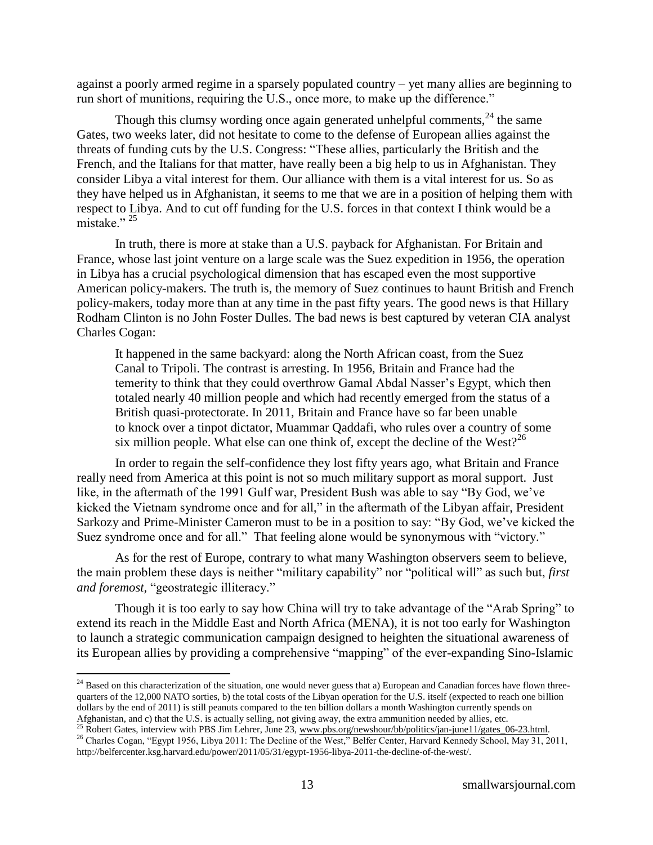against a poorly armed regime in a sparsely populated country – yet many allies are beginning to run short of munitions, requiring the U.S., once more, to make up the difference."

Though this clumsy wording once again generated unhelpful comments,  $24$  the same Gates, two weeks later, did not hesitate to come to the defense of European allies against the threats of funding cuts by the U.S. Congress: "These allies, particularly the British and the French, and the Italians for that matter, have really been a big help to us in Afghanistan. They consider Libya a vital interest for them. Our alliance with them is a vital interest for us. So as they have helped us in Afghanistan, it seems to me that we are in a position of helping them with respect to Libya. And to cut off funding for the U.S. forces in that context I think would be a mistake" $^{25}$ 

In truth, there is more at stake than a U.S. payback for Afghanistan. For Britain and France, whose last joint venture on a large scale was the Suez expedition in 1956, the operation in Libya has a crucial psychological dimension that has escaped even the most supportive American policy-makers. The truth is, the memory of Suez continues to haunt British and French policy-makers, today more than at any time in the past fifty years. The good news is that Hillary Rodham Clinton is no John Foster Dulles. The bad news is best captured by veteran CIA analyst Charles Cogan:

It happened in the same backyard: along the North African coast, from the Suez Canal to Tripoli. The contrast is arresting. In 1956, Britain and France had the temerity to think that they could overthrow Gamal Abdal Nasser's Egypt, which then totaled nearly 40 million people and which had recently emerged from the status of a British quasi-protectorate. In 2011, Britain and France have so far been unable to knock over a tinpot dictator, Muammar Qaddafi, who rules over a country of some six million people. What else can one think of, except the decline of the West?<sup>26</sup>

In order to regain the self-confidence they lost fifty years ago, what Britain and France really need from America at this point is not so much military support as moral support. Just like, in the aftermath of the 1991 Gulf war, President Bush was able to say "By God, we've kicked the Vietnam syndrome once and for all," in the aftermath of the Libyan affair, President Sarkozy and Prime-Minister Cameron must to be in a position to say: "By God, we've kicked the Suez syndrome once and for all." That feeling alone would be synonymous with "victory."

As for the rest of Europe, contrary to what many Washington observers seem to believe, the main problem these days is neither "military capability" nor "political will" as such but, *first and foremost,* "geostrategic illiteracy."

Though it is too early to say how China will try to take advantage of the "Arab Spring" to extend its reach in the Middle East and North Africa (MENA), it is not too early for Washington to launch a strategic communication campaign designed to heighten the situational awareness of its European allies by providing a comprehensive "mapping" of the ever-expanding Sino-Islamic

<sup>&</sup>lt;sup>24</sup> Based on this characterization of the situation, one would never guess that a) European and Canadian forces have flown threequarters of the 12,000 NATO sorties, b) the total costs of the Libyan operation for the U.S. itself (expected to reach one billion dollars by the end of 2011) is still peanuts compared to the ten billion dollars a month Washington currently spends on Afghanistan, and c) that the U.S. is actually selling, not giving away, the extra ammunition needed by allies, etc.

<sup>&</sup>lt;sup>25</sup> Robert Gates, interview with PBS Jim Lehrer, June 23, www.pbs.org/newshour/bb/politics/jan-june11/gates\_06-23.html.

<sup>&</sup>lt;sup>26</sup> Charles Cogan, "Egypt 1956, Libya 2011: The Decline of the West," Belfer Center, Harvard Kennedy School, May 31, 2011, [http://belfercenter.ksg.harvard.edu/power/2011/05/31/egypt-1956-libya-2011-the-decline-of-the-west/.](http://belfercenter.ksg.harvard.edu/power/2011/05/31/egypt-1956-libya-2011-the-decline-of-the-west/)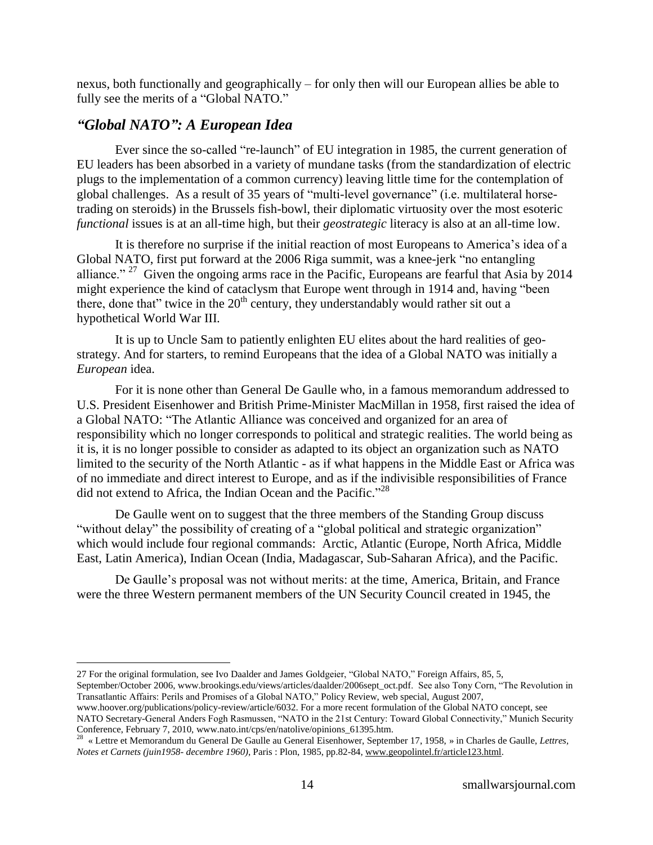nexus, both functionally and geographically – for only then will our European allies be able to fully see the merits of a "Global NATO."

# *"Global NATO": A European Idea*

 $\overline{a}$ 

Ever since the so-called "re-launch" of EU integration in 1985, the current generation of EU leaders has been absorbed in a variety of mundane tasks (from the standardization of electric plugs to the implementation of a common currency) leaving little time for the contemplation of global challenges. As a result of 35 years of "multi-level governance" (i.e. multilateral horsetrading on steroids) in the Brussels fish-bowl, their diplomatic virtuosity over the most esoteric *functional* issues is at an all-time high, but their *geostrategic* literacy is also at an all-time low.

It is therefore no surprise if the initial reaction of most Europeans to America's idea of a Global NATO, first put forward at the 2006 Riga summit, was a knee-jerk "no entangling" alliance." <sup>27</sup> Given the ongoing arms race in the Pacific, Europeans are fearful that Asia by 2014 might experience the kind of cataclysm that Europe went through in 1914 and, having "been there, done that" twice in the  $20<sup>th</sup>$  century, they understandably would rather sit out a hypothetical World War III.

It is up to Uncle Sam to patiently enlighten EU elites about the hard realities of geostrategy. And for starters, to remind Europeans that the idea of a Global NATO was initially a *European* idea.

For it is none other than General De Gaulle who, in a famous memorandum addressed to U.S. President Eisenhower and British Prime-Minister MacMillan in 1958, first raised the idea of a Global NATO: "The Atlantic Alliance was conceived and organized for an area of responsibility which no longer corresponds to political and strategic realities. The world being as it is, it is no longer possible to consider as adapted to its object an organization such as NATO limited to the security of the North Atlantic - as if what happens in the Middle East or Africa was of no immediate and direct interest to Europe, and as if the indivisible responsibilities of France did not extend to Africa, the Indian Ocean and the Pacific."<sup>28</sup>

De Gaulle went on to suggest that the three members of the Standing Group discuss "without delay" the possibility of creating of a "global political and strategic organization" which would include four regional commands: Arctic, Atlantic (Europe, North Africa, Middle East, Latin America), Indian Ocean (India, Madagascar, Sub-Saharan Africa), and the Pacific.

De Gaulle's proposal was not without merits: at the time, America, Britain, and France were the three Western permanent members of the UN Security Council created in 1945, the

[www.hoover.org/publications/policy-review/article/6032.](http://www.hoover.org/publications/policy-review/article/6032) For a more recent formulation of the Global NATO concept, see NATO Secretary-General Anders Fogh Rasmussen, "NATO in the 21st Century: Toward Global Connectivity," Munich Security Conference, February 7, 2010, [www.nato.int/cps/en/natolive/opinions\\_61395.htm.](http://www.nato.int/cps/en/natolive/opinions_61395.htm) 28

<sup>27</sup> For the original formulation, see Ivo Daalder and James Goldgeier, "Global NATO," Foreign Affairs, 85, 5,

September/October 2006[, www.brookings.edu/views/articles/daalder/2006sept\\_oct.pdf.](http://www.brookings.edu/views/articles/daalder/2006sept_oct.pdf) See also Tony Corn, "The Revolution in Transatlantic Affairs: Perils and Promises of a Global NATO," Policy Review, web special, August 2007,

 <sup>«</sup> Lettre et Memorandum du General De Gaulle au General Eisenhower, September 17, 1958, » in Charles de Gaulle, *Lettres, Notes et Carnets (juin1958- decembre 1960)*, Paris : Plon, 1985, pp.82-84[, www.geopolintel.fr/article123.html.](http://www.geopolintel.fr/article123.html)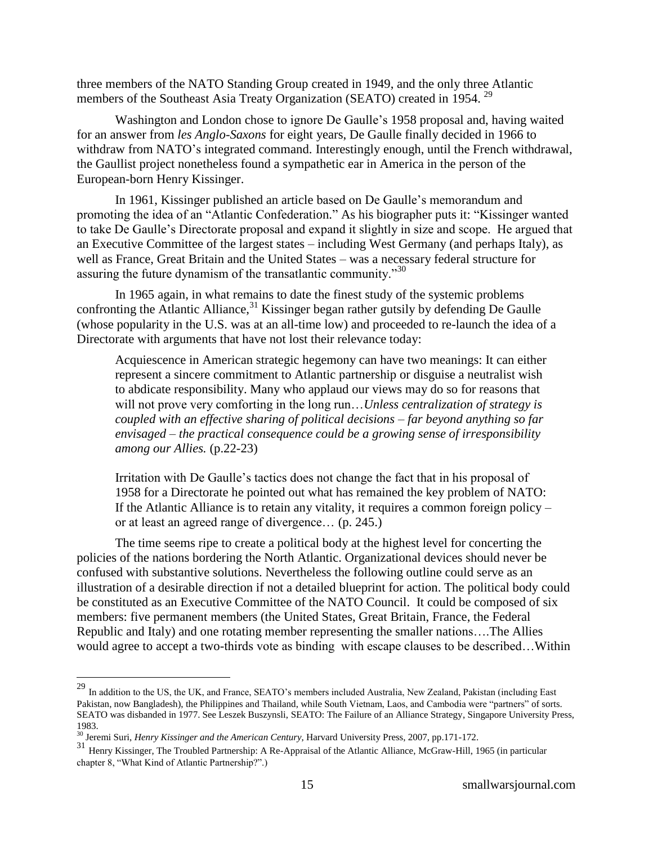three members of the NATO Standing Group created in 1949, and the only three Atlantic members of the Southeast Asia Treaty Organization (SEATO) created in 1954.<sup>29</sup>

Washington and London chose to ignore De Gaulle's 1958 proposal and, having waited for an answer from *les Anglo-Saxons* for eight years, De Gaulle finally decided in 1966 to withdraw from NATO's integrated command. Interestingly enough, until the French withdrawal, the Gaullist project nonetheless found a sympathetic ear in America in the person of the European-born Henry Kissinger.

In 1961, Kissinger published an article based on De Gaulle's memorandum and promoting the idea of an "Atlantic Confederation." As his biographer puts it: "Kissinger wanted to take De Gaulle's Directorate proposal and expand it slightly in size and scope. He argued that an Executive Committee of the largest states – including West Germany (and perhaps Italy), as well as France, Great Britain and the United States – was a necessary federal structure for assuring the future dynamism of the transatlantic community."<sup>30</sup>

In 1965 again, in what remains to date the finest study of the systemic problems confronting the Atlantic Alliance,  $31$  Kissinger began rather gutsily by defending De Gaulle (whose popularity in the U.S. was at an all-time low) and proceeded to re-launch the idea of a Directorate with arguments that have not lost their relevance today:

Acquiescence in American strategic hegemony can have two meanings: It can either represent a sincere commitment to Atlantic partnership or disguise a neutralist wish to abdicate responsibility. Many who applaud our views may do so for reasons that will not prove very comforting in the long run…*Unless centralization of strategy is coupled with an effective sharing of political decisions – far beyond anything so far envisaged – the practical consequence could be a growing sense of irresponsibility among our Allies.* (p.22-23)

Irritation with De Gaulle's tactics does not change the fact that in his proposal of 1958 for a Directorate he pointed out what has remained the key problem of NATO: If the Atlantic Alliance is to retain any vitality, it requires a common foreign policy – or at least an agreed range of divergence… (p. 245.)

The time seems ripe to create a political body at the highest level for concerting the policies of the nations bordering the North Atlantic. Organizational devices should never be confused with substantive solutions. Nevertheless the following outline could serve as an illustration of a desirable direction if not a detailed blueprint for action. The political body could be constituted as an Executive Committee of the NATO Council. It could be composed of six members: five permanent members (the United States, Great Britain, France, the Federal Republic and Italy) and one rotating member representing the smaller nations….The Allies would agree to accept a two-thirds vote as binding with escape clauses to be described…Within

 $^{29}$  In addition to the US, the UK, and France, SEATO's members included Australia, New Zealand, Pakistan (including East Pakistan, now Bangladesh), the Philippines and Thailand, while South Vietnam, Laos, and Cambodia were "partners" of sorts. SEATO was disbanded in 1977. See Leszek Buszynsli, SEATO: The Failure of an Alliance Strategy, Singapore University Press, 1983.

<sup>30</sup> Jeremi Suri, *Henry Kissinger and the American Century*, Harvard University Press, 2007, pp.171-172.

<sup>&</sup>lt;sup>31</sup> Henry Kissinger, The Troubled Partnership: A Re-Appraisal of the Atlantic Alliance, McGraw-Hill, 1965 (in particular chapter 8, "What Kind of Atlantic Partnership?".)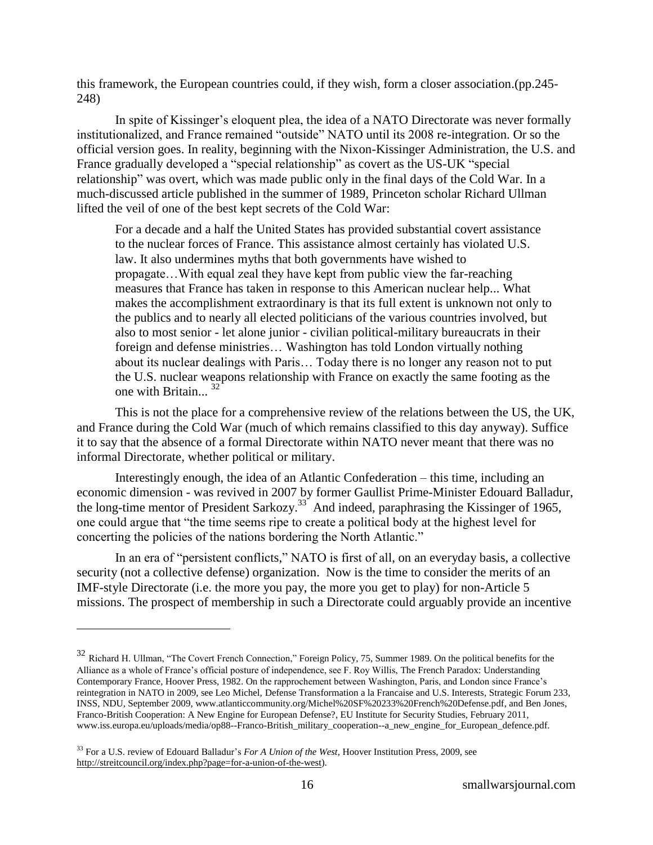this framework, the European countries could, if they wish, form a closer association.(pp.245- 248)

In spite of Kissinger's eloquent plea, the idea of a NATO Directorate was never formally institutionalized, and France remained "outside" NATO until its 2008 re-integration. Or so the official version goes. In reality, beginning with the Nixon-Kissinger Administration, the U.S. and France gradually developed a "special relationship" as covert as the US-UK "special relationship" was overt, which was made public only in the final days of the Cold War. In a much-discussed article published in the summer of 1989, Princeton scholar Richard Ullman lifted the veil of one of the best kept secrets of the Cold War:

For a decade and a half the United States has provided substantial covert assistance to the nuclear forces of France. This assistance almost certainly has violated U.S. law. It also undermines myths that both governments have wished to propagate…With equal zeal they have kept from public view the far-reaching measures that France has taken in response to this American nuclear help... What makes the accomplishment extraordinary is that its full extent is unknown not only to the publics and to nearly all elected politicians of the various countries involved, but also to most senior - let alone junior - civilian political-military bureaucrats in their foreign and defense ministries… Washington has told London virtually nothing about its nuclear dealings with Paris… Today there is no longer any reason not to put the U.S. nuclear weapons relationship with France on exactly the same footing as the one with Britain...<sup>32</sup>

This is not the place for a comprehensive review of the relations between the US, the UK, and France during the Cold War (much of which remains classified to this day anyway). Suffice it to say that the absence of a formal Directorate within NATO never meant that there was no informal Directorate, whether political or military.

Interestingly enough, the idea of an Atlantic Confederation – this time, including an economic dimension - was revived in 2007 by former Gaullist Prime-Minister Edouard Balladur, the long-time mentor of President Sarkozy.<sup>33</sup> And indeed, paraphrasing the Kissinger of 1965, one could argue that "the time seems ripe to create a political body at the highest level for concerting the policies of the nations bordering the North Atlantic."

In an era of "persistent conflicts," NATO is first of all, on an everyday basis, a collective security (not a collective defense) organization. Now is the time to consider the merits of an IMF-style Directorate (i.e. the more you pay, the more you get to play) for non-Article 5 missions. The prospect of membership in such a Directorate could arguably provide an incentive

<sup>&</sup>lt;sup>32</sup> Richard H. Ullman, "The Covert French Connection," Foreign Policy, 75, Summer 1989. On the political benefits for the Alliance as a whole of France's official posture of independence, see F. Roy Willis, The French Paradox: Understanding Contemporary France, Hoover Press, 1982. On the rapprochement between Washington, Paris, and London since France's reintegration in NATO in 2009, see Leo Michel, Defense Transformation a la Francaise and U.S. Interests, Strategic Forum 233, INSS, NDU, September 2009, [www.atlanticcommunity.org/Michel%20SF%20233%20French%20Defense.pdf,](http://www.atlanticcommunity.org/Michel%20SF%20233%20French%20Defense.pdf) and Ben Jones, Franco-British Cooperation: A New Engine for European Defense?, EU Institute for Security Studies, February 2011, [www.iss.europa.eu/uploads/media/op88--Franco-British\\_military\\_cooperation--a\\_new\\_engine\\_for\\_European\\_defence.pdf.](http://www.iss.europa.eu/uploads/media/op88--Franco-British_military_cooperation--a_new_engine_for_European_defence.pdf)

<sup>33</sup> For a U.S. review of Edouard Balladur's *For A Union of the West,* Hoover Institution Press, 2009, see [http://streitcouncil.org/index.php?page=for-a-union-of-the-west\)](http://streitcouncil.org/index.php?page=for-a-union-of-the-west).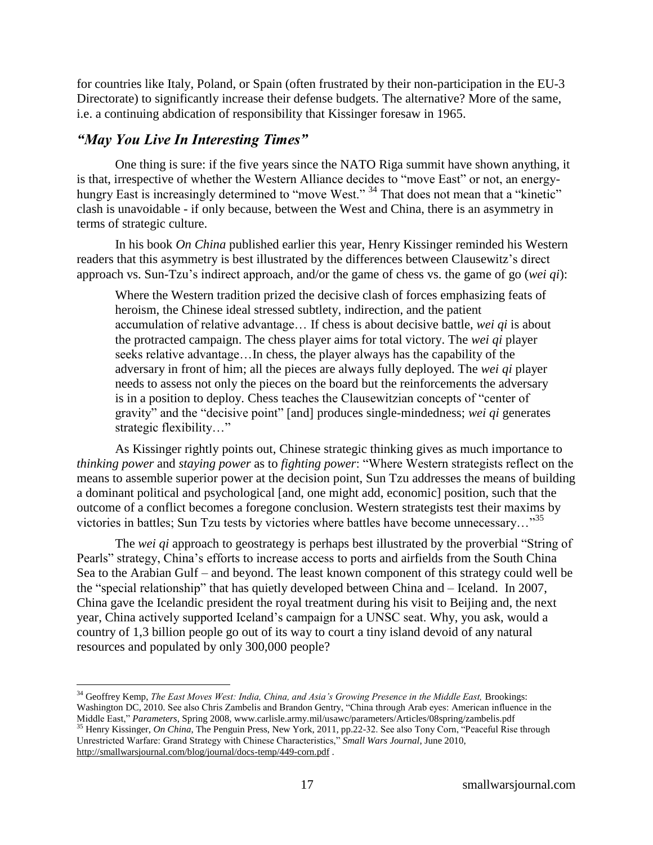for countries like Italy, Poland, or Spain (often frustrated by their non-participation in the EU-3 Directorate) to significantly increase their defense budgets. The alternative? More of the same, i.e. a continuing abdication of responsibility that Kissinger foresaw in 1965.

### *"May You Live In Interesting Times"*

 $\overline{a}$ 

One thing is sure: if the five years since the NATO Riga summit have shown anything, it is that, irrespective of whether the Western Alliance decides to "move East" or not, an energyhungry East is increasingly determined to "move West." <sup>34</sup> That does not mean that a "kinetic" clash is unavoidable - if only because, between the West and China, there is an asymmetry in terms of strategic culture.

In his book *On China* published earlier this year, Henry Kissinger reminded his Western readers that this asymmetry is best illustrated by the differences between Clausewitz's direct approach vs. Sun-Tzu's indirect approach, and/or the game of chess vs. the game of go (*wei qi*):

Where the Western tradition prized the decisive clash of forces emphasizing feats of heroism, the Chinese ideal stressed subtlety, indirection, and the patient accumulation of relative advantage… If chess is about decisive battle, *wei qi* is about the protracted campaign. The chess player aims for total victory. The *wei qi* player seeks relative advantage…In chess, the player always has the capability of the adversary in front of him; all the pieces are always fully deployed. The *wei qi* player needs to assess not only the pieces on the board but the reinforcements the adversary is in a position to deploy. Chess teaches the Clausewitzian concepts of "center of gravity" and the "decisive point" [and] produces single-mindedness; *wei qi* generates strategic flexibility..."

As Kissinger rightly points out, Chinese strategic thinking gives as much importance to *thinking power* and *staying power* as to *fighting power*: "Where Western strategists reflect on the means to assemble superior power at the decision point, Sun Tzu addresses the means of building a dominant political and psychological [and, one might add, economic] position, such that the outcome of a conflict becomes a foregone conclusion. Western strategists test their maxims by victories in battles; Sun Tzu tests by victories where battles have become unnecessary... $^{35}$ 

The *wei qi* approach to geostrategy is perhaps best illustrated by the proverbial "String of Pearls" strategy, China's efforts to increase access to ports and airfields from the South China Sea to the Arabian Gulf – and beyond. The least known component of this strategy could well be the "special relationship" that has quietly developed between China and – Iceland. In 2007, China gave the Icelandic president the royal treatment during his visit to Beijing and, the next year, China actively supported Iceland's campaign for a UNSC seat. Why, you ask, would a country of 1,3 billion people go out of its way to court a tiny island devoid of any natural resources and populated by only 300,000 people?

<sup>34</sup> Geoffrey Kemp, *The East Moves West: India, China, and Asia's Growing Presence in the Middle East,* Brookings: Washington DC, 2010. See also Chris Zambelis and Brandon Gentry, "China through Arab eyes: American influence in the Middle East," Parameters, Spring 2008, www.carlisle.army.mil/usawc/parameters/Articles/08spring/zambelis.pdf

<sup>&</sup>lt;sup>35</sup> Henry Kissinger, *On China*, The Penguin Press, New York, 2011, pp.22-32. See also Tony Corn, "Peaceful Rise through Unrestricted Warfare: Grand Strategy with Chinese Characteristics,‖ *Small Wars Journal*, June 2010, <http://smallwarsjournal.com/blog/journal/docs-temp/449-corn.pdf>.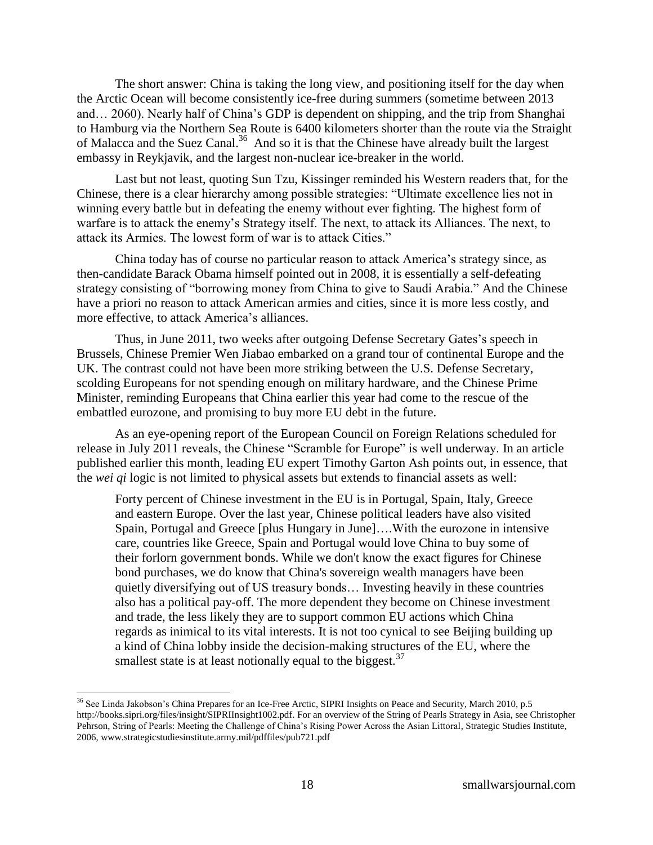The short answer: China is taking the long view, and positioning itself for the day when the Arctic Ocean will become consistently ice-free during summers (sometime between 2013 and… 2060). Nearly half of China's GDP is dependent on shipping, and the trip from Shanghai to Hamburg via the Northern Sea Route is 6400 kilometers shorter than the route via the Straight of Malacca and the Suez Canal.<sup>36</sup> And so it is that the Chinese have already built the largest embassy in Reykjavik, and the largest non-nuclear ice-breaker in the world.

Last but not least, quoting Sun Tzu, Kissinger reminded his Western readers that, for the Chinese, there is a clear hierarchy among possible strategies: "Ultimate excellence lies not in winning every battle but in defeating the enemy without ever fighting. The highest form of warfare is to attack the enemy's Strategy itself. The next, to attack its Alliances. The next, to attack its Armies. The lowest form of war is to attack Cities."

China today has of course no particular reason to attack America's strategy since, as then-candidate Barack Obama himself pointed out in 2008, it is essentially a self-defeating strategy consisting of "borrowing money from China to give to Saudi Arabia." And the Chinese have a priori no reason to attack American armies and cities, since it is more less costly, and more effective, to attack America's alliances.

Thus, in June 2011, two weeks after outgoing Defense Secretary Gates's speech in Brussels, Chinese Premier Wen Jiabao embarked on a grand tour of continental Europe and the UK. The contrast could not have been more striking between the U.S. Defense Secretary, scolding Europeans for not spending enough on military hardware, and the Chinese Prime Minister, reminding Europeans that China earlier this year had come to the rescue of the embattled eurozone, and promising to buy more EU debt in the future.

As an eye-opening report of the European Council on Foreign Relations scheduled for release in July 2011 reveals, the Chinese "Scramble for Europe" is well underway. In an article published earlier this month, leading EU expert Timothy Garton Ash points out, in essence, that the *wei qi* logic is not limited to physical assets but extends to financial assets as well:

Forty percent of Chinese investment in the EU is in Portugal, Spain, Italy, Greece and eastern Europe. Over the last year, Chinese political leaders have also visited Spain, Portugal and Greece [plus Hungary in June]….With the eurozone in intensive care, countries like Greece, Spain and Portugal would love China to buy some of their forlorn government bonds. While we don't know the exact figures for Chinese bond purchases, we do know that China's sovereign wealth managers have been quietly diversifying out of US treasury bonds… Investing heavily in these countries also has a political pay-off. The more dependent they become on Chinese investment and trade, the less likely they are to support common EU actions which China regards as inimical to its vital interests. It is not too cynical to see Beijing building up a kind of China lobby inside the decision-making structures of the EU, where the smallest state is at least notionally equal to the biggest.  $37$ 

<sup>&</sup>lt;sup>36</sup> See Linda Jakobson's China Prepares for an Ice-Free Arctic, SIPRI Insights on Peace and Security, March 2010, p.5 [http://books.sipri.org/files/insight/SIPRIInsight1002.pdf.](http://books.sipri.org/files/insight/SIPRIInsight1002.pdf) For an overview of the String of Pearls Strategy in Asia, see Christopher Pehrson, String of Pearls: Meeting the Challenge of China's Rising Power Across the Asian Littoral, Strategic Studies Institute, 2006[, www.strategicstudiesinstitute.army.mil/pdffiles/pub721.pdf](http://www.strategicstudiesinstitute.army.mil/pdffiles/pub721.pdf)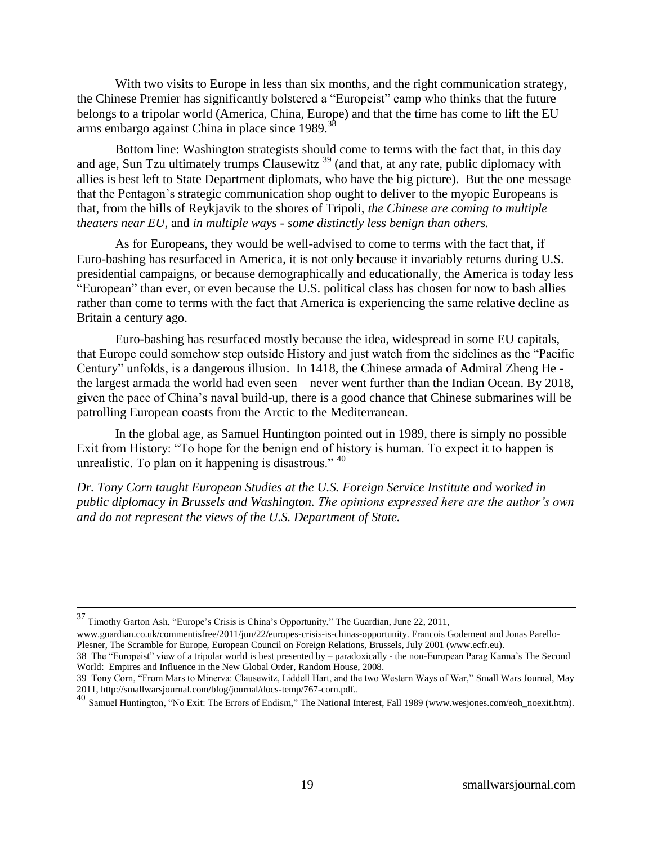With two visits to Europe in less than six months, and the right communication strategy, the Chinese Premier has significantly bolstered a "Europeist" camp who thinks that the future belongs to a tripolar world (America, China, Europe) and that the time has come to lift the EU arms embargo against China in place since 1989.<sup>38</sup>

Bottom line: Washington strategists should come to terms with the fact that, in this day and age, Sun Tzu ultimately trumps Clausewitz<sup>39</sup> (and that, at any rate, public diplomacy with allies is best left to State Department diplomats, who have the big picture). But the one message that the Pentagon's strategic communication shop ought to deliver to the myopic Europeans is that, from the hills of Reykjavik to the shores of Tripoli, *the Chinese are coming to multiple theaters near EU,* and *in multiple ways - some distinctly less benign than others.* 

As for Europeans, they would be well-advised to come to terms with the fact that, if Euro-bashing has resurfaced in America, it is not only because it invariably returns during U.S. presidential campaigns, or because demographically and educationally, the America is today less "European" than ever, or even because the U.S. political class has chosen for now to bash allies rather than come to terms with the fact that America is experiencing the same relative decline as Britain a century ago.

Euro-bashing has resurfaced mostly because the idea, widespread in some EU capitals, that Europe could somehow step outside History and just watch from the sidelines as the "Pacific Century" unfolds, is a dangerous illusion. In 1418, the Chinese armada of Admiral Zheng He the largest armada the world had even seen – never went further than the Indian Ocean. By 2018, given the pace of China's naval build-up, there is a good chance that Chinese submarines will be patrolling European coasts from the Arctic to the Mediterranean.

In the global age, as Samuel Huntington pointed out in 1989, there is simply no possible Exit from History: "To hope for the benign end of history is human. To expect it to happen is unrealistic. To plan on it happening is disastrous."  $40$ 

*Dr. Tony Corn taught European Studies at the U.S. Foreign Service Institute and worked in public diplomacy in Brussels and Washington. The opinions expressed here are the author's own and do not represent the views of the U.S. Department of State.*

 $37$  Timothy Garton Ash, "Europe's Crisis is China's Opportunity," The Guardian, June 22, 2011,

[www.guardian.co.uk/commentisfree/2011/jun/22/europes-crisis-is-chinas-opportunity.](http://www.guardian.co.uk/commentisfree/2011/jun/22/europes-crisis-is-chinas-opportunity) Francois Godement and Jonas Parello-Plesner, The Scramble for Europe, European Council on Foreign Relations, Brussels, July 2001 (www.ecfr.eu).

<sup>38</sup> The "Europeist" view of a tripolar world is best presented by  $-$  paradoxically - the non-European Parag Kanna's The Second World: Empires and Influence in the New Global Order, Random House, 2008.

<sup>39</sup> Tony Corn, "From Mars to Minerva: Clausewitz, Liddell Hart, and the two Western Ways of War," Small Wars Journal, May 2011[, http://smallwarsjournal.com/blog/journal/docs-temp/767-corn.pdf..](http://smallwarsjournal.com/blog/journal/docs-temp/767-corn.pdf)

<sup>40&</sup>lt;br>Samuel Huntington, "No Exit: The Errors of Endism," The National Interest, Fall 1989 [\(www.wesjones.com/eoh\\_noexit.htm\)](http://www.wesjones.com/eoh_noexit.htm).